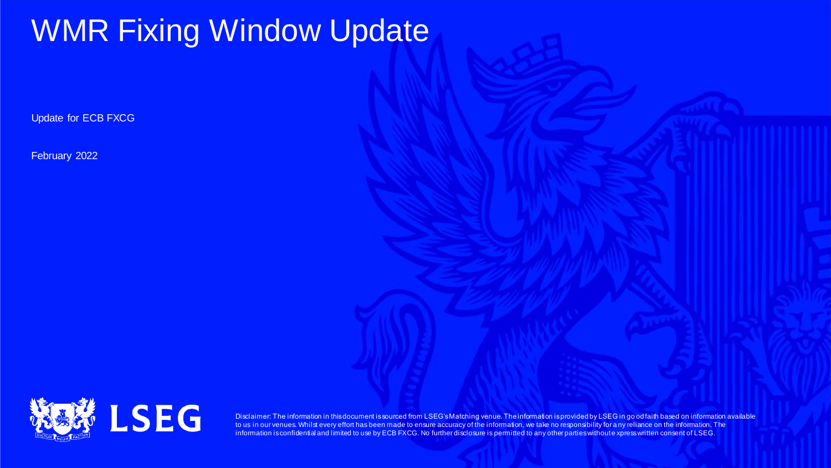# WMR Fixing Window Update

Update for ECB FXCG

February 2022



Disclaimer: The information in this document is sourced from LSEG's Matching venue. The information is provided by LSEG in go od faith based on information available to us in our venues. Whilst every effort has been made to ensure accuracy of the information, we take no responsibility for a ny reliance on the information. The information is confidential and limited to use by ECB FXCG. No further disclosure is permitted to any other parties without express written consent of LSEG.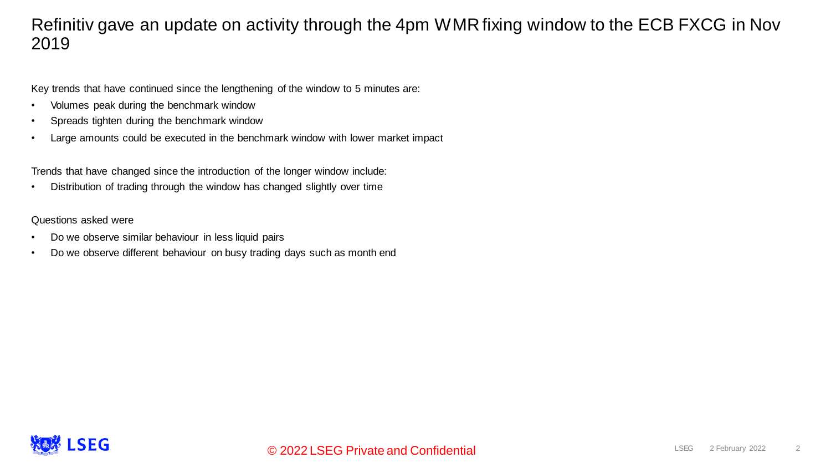### Refinitiv gave an update on activity through the 4pm WMR fixing window to the ECB FXCG in Nov 2019

Key trends that have continued since the lengthening of the window to 5 minutes are:

- Volumes peak during the benchmark window
- Spreads tighten during the benchmark window
- Large amounts could be executed in the benchmark window with lower market impact

Trends that have changed since the introduction of the longer window include:

• Distribution of trading through the window has changed slightly over time

Questions asked were

- Do we observe similar behaviour in less liquid pairs
- Do we observe different behaviour on busy trading days such as month end

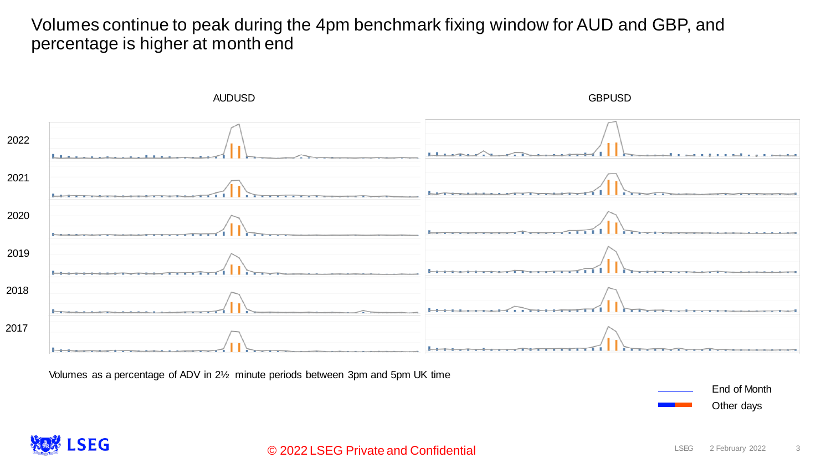Volumes continue to peak during the 4pm benchmark fixing window for AUD and GBP, and percentage is higher at month end



Volumes as a percentage of ADV in 2½ minute periods between 3pm and 5pm UK time

End of Month Other days

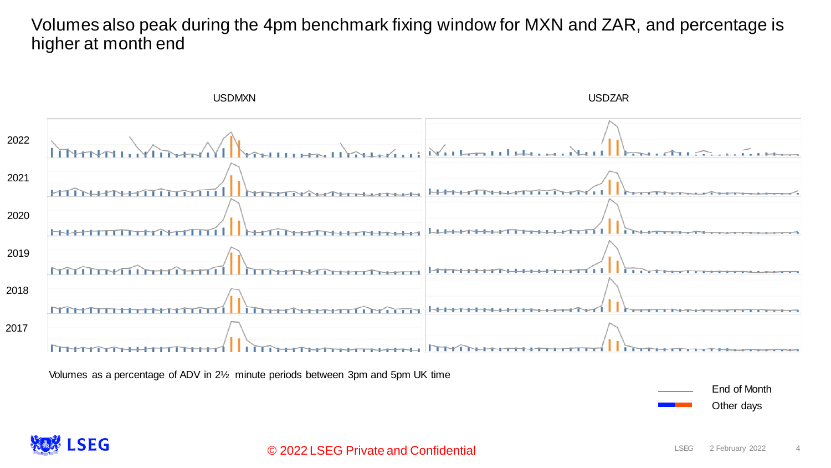### Volumes also peak during the 4pm benchmark fixing window for MXN and ZAR, and percentage is higher at month end



Volumes as a percentage of ADV in 2½ minute periods between 3pm and 5pm UK time

End of Month Other days

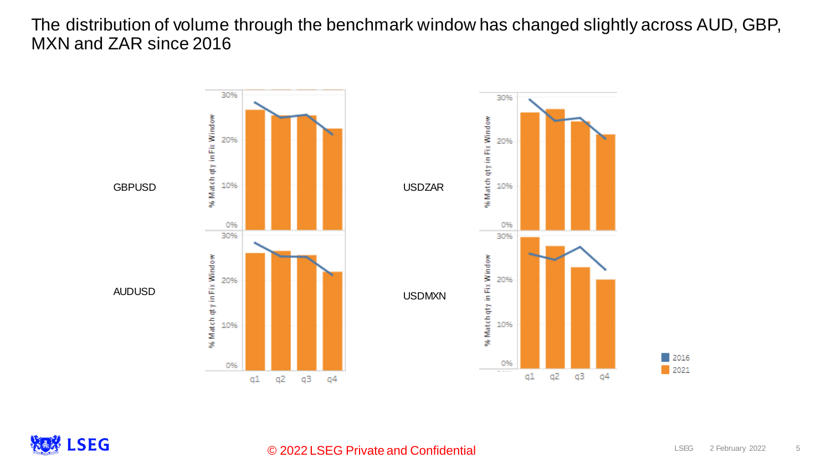The distribution of volume through the benchmark window has changed slightly across AUD, GBP, MXN and ZAR since 2016



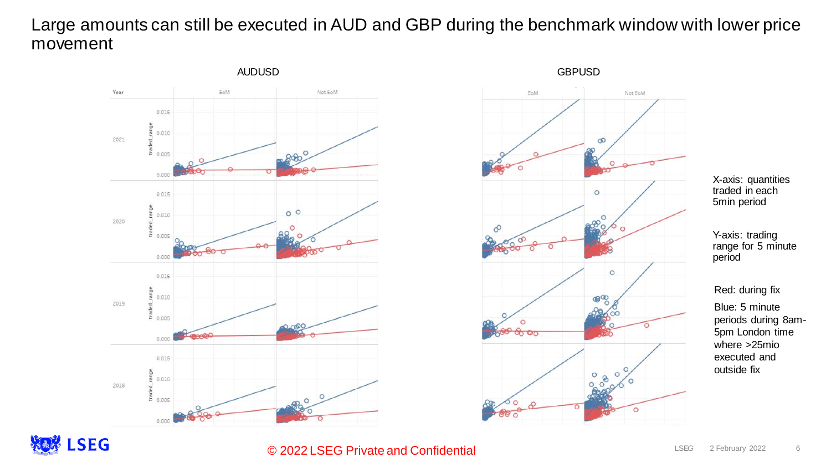## Large amounts can still be executed in AUD and GBP during the benchmark window with lower price movement





X-axis: quantities traded in each 5min period

Y-axis: trading range for 5 minute period

#### Red: during fix

Blue: 5 minute periods during 8am-5pm London time where >25mio executed and outside fix



### © 2022 LSEG Private and Confidential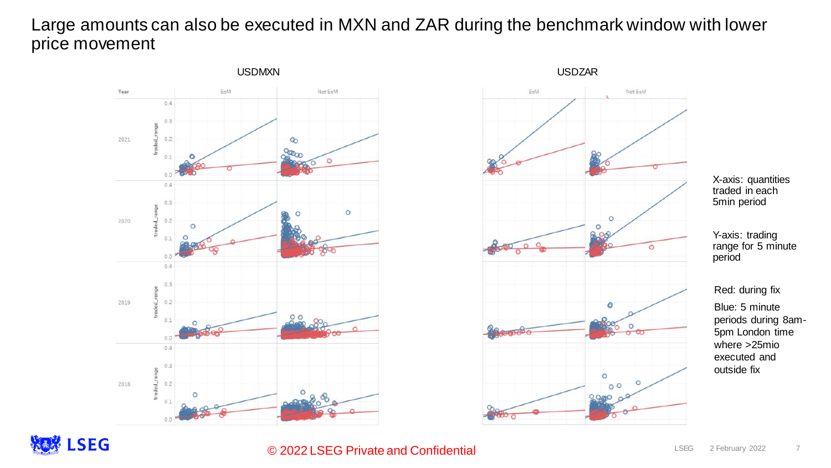### Large amounts can also be executed in MXN and ZAR during the benchmark window with lower price movement





X-axis: quantities traded in each 5min period

Y-axis: trading range for 5 minute period

#### Red: during fix

Blue: 5 minute periods during 8am-5pm London time where >25mio executed and outside fix

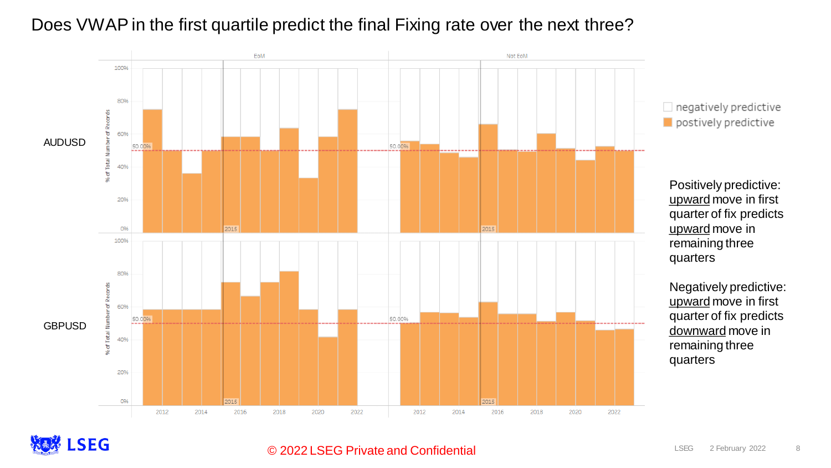

## Does VWAP in the first quartile predict the final Fixing rate over the next three?



### © 2022 LSEG Private and Confidential

#### LSEG 2 February 2022 8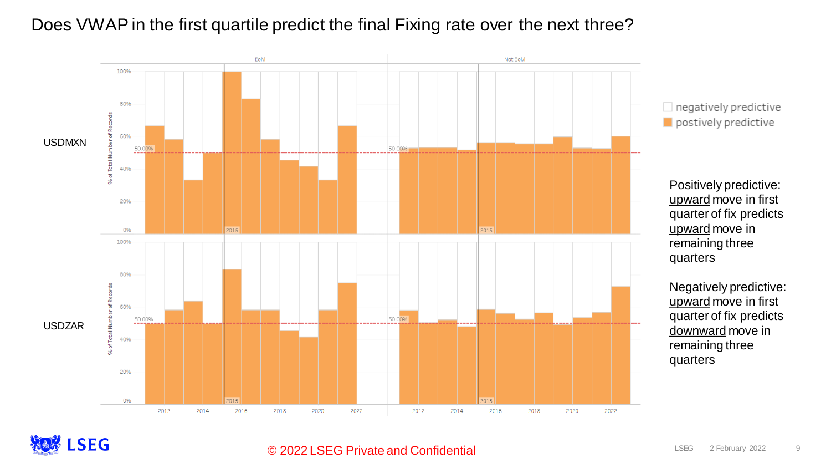### Does VWAP in the first quartile predict the final Fixing rate over the next three?



 $\Box$  negatively predictive  $\blacksquare$  postively predictive

Positively predictive: upward move in first quarter of fix predicts upward move in remaining three quarters

Negatively predictive: upward move in first quarter of fix predicts downward move in remaining three quarters



#### © 2022 LSEG Private and Confidential